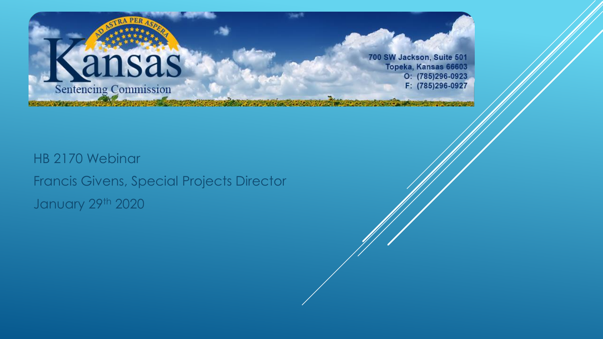

700 SW Jackson, Suite 501 Topeka, Kansas 66603  $O: (785)296-0923$ F: (785)296-0927

HB 2170 Webinar Francis Givens, Special Projects Director January 29th 2020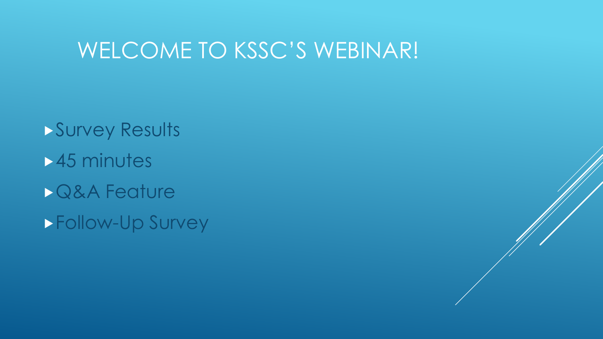#### WELCOME TO KSSC'S WEBINAR!

Survey Results 45 minutes Q&A Feature Follow-Up Survey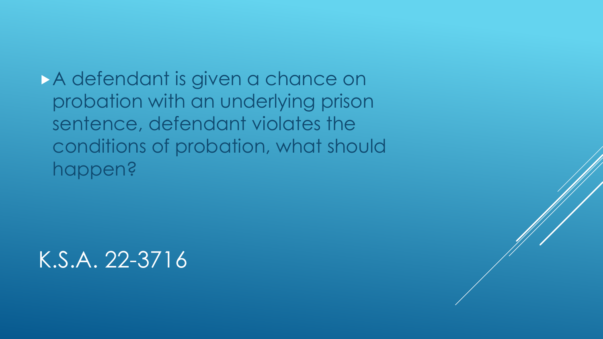A defendant is given a chance on probation with an underlying prison sentence, defendant violates the conditions of probation, what should happen?

K.S.A. 22-3716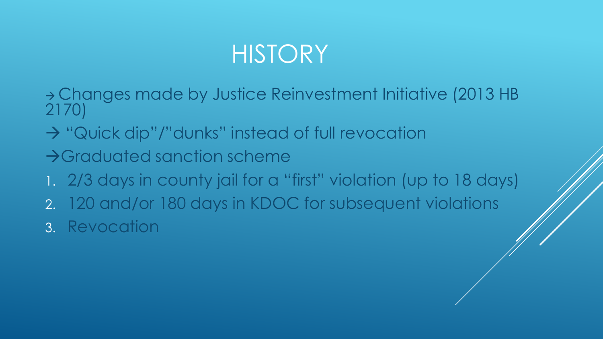# **HISTORY**

- <sup>→</sup> Changes made by Justice Reinvestment Initiative (2013 HB 2170)
- → "Quick dip"/"dunks" instead of full revocation
- →Graduated sanction scheme
- 1. 2/3 days in county jail for a "first" violation (up to 18 days)
- 2. 120 and/or 180 days in KDOC for subsequent violations
- 3. Revocation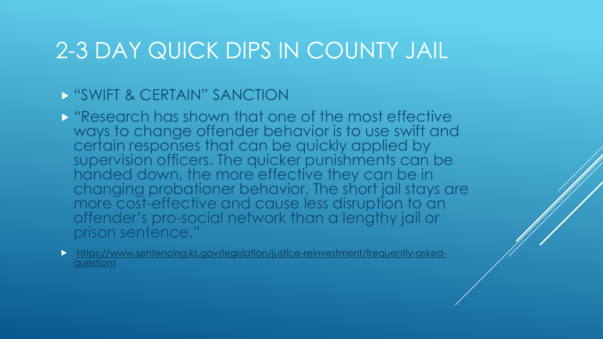### 2-3 DAY QUICK DIPS IN COUNTY JAIL

#### "SWIFT & CERTAIN" SANCTION

**E** "Research has shown that one of the most effective" ways to change offender behavior is to use swift and certain responses that can be quickly applied by supervision officers. The quicker punishments can be handed down, the more effective they can be in changing probationer behavior. The short jail stays are more cost-effective and cause less disruption to an offender's pro-social network than a lengthy jail or prison sentence."

[https://www.sentencing.ks.gov/legislation/justice-reinvestment/frequently-asked](https://www.sentencing.ks.gov/legislation/justice-reinvestment/frequently-asked-questions)questions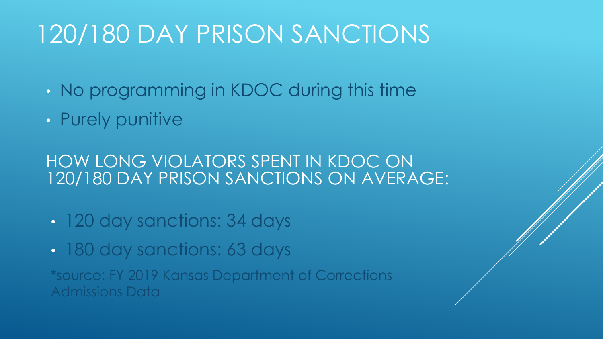# 120/180 DAY PRISON SANCTIONS

- No programming in KDOC during this time
- Purely punitive

HOW LONG VIOLATORS SPENT IN KDOC ON 120/180 DAY PRISON SANCTIONS ON AVERAGE:

- 120 day sanctions: 34 days
- 180 day sanctions: 63 days

\*source: FY 2019 Kansas Department of Corrections Admissions Data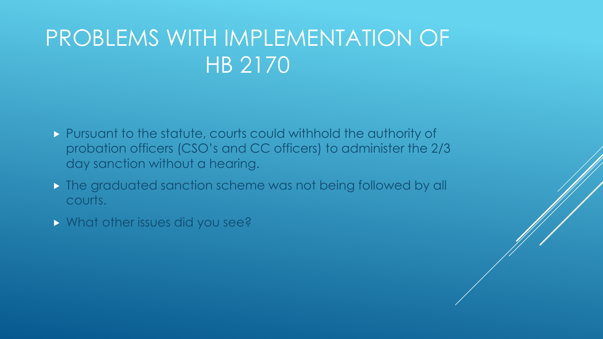# PROBLEMS WITH IMPLEMENTATION OF HB 2170

- Pursuant to the statute, courts could withhold the authority of probation officers (CSO's and CC officers) to administer the 2/3 day sanction without a hearing.
- **The graduated sanction scheme was not being followed by all** courts.
- **What other issues did you see?**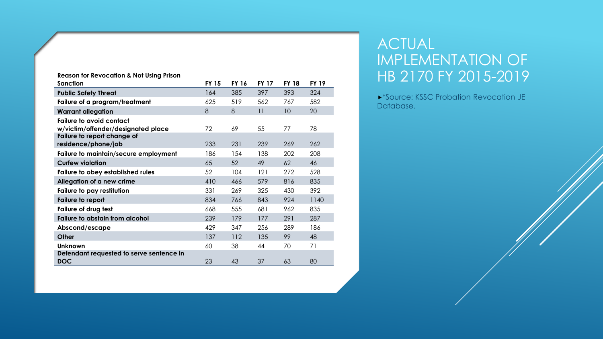| <b>Reason for Revocation &amp; Not Using Prison</b>                   |              |              |              |              |              |
|-----------------------------------------------------------------------|--------------|--------------|--------------|--------------|--------------|
| Sanction                                                              | <b>FY 15</b> | <b>FY 16</b> | <b>FY 17</b> | <b>FY 18</b> | <b>FY 19</b> |
| <b>Public Safety Threat</b>                                           | 164          | 385          | 397          | 393          | 324          |
| Failure of a program/treatment                                        | 625          | 519          | 562          | 767          | 582          |
| <b>Warrant allegation</b>                                             | 8            | 8            | 11           | 10           | 20           |
| <b>Failure to avoid contact</b><br>w/victim/offender/designated place | 72           | 69           | 55           | 77           | 78           |
| Failure to report change of<br>residence/phone/job                    | 233          | 231          | 239          | 269          | 262          |
| Failure to maintain/secure employment                                 | 186          | 154          | 138          | 202          | 208          |
| <b>Curfew violation</b>                                               | 65           | 52           | 49           | 62           | 46           |
| Failure to obey established rules                                     | 52           | 104          | 121          | 272          | 528          |
| Allegation of a new crime                                             | 410          | 466          | 579          | 816          | 835          |
| Failure to pay restitution                                            | 331          | 269          | 325          | 430          | 392          |
| Failure to report                                                     | 834          | 766          | 843          | 924          | 1140         |
| Failure of drug test                                                  | 668          | 555          | 681          | 962          | 835          |
| <b>Failure to abstain from alcohol</b>                                | 239          | 179          | 177          | 291          | 287          |
| Abscond/escape                                                        | 429          | 347          | 256          | 289          | 186          |
| Other                                                                 | 137          | 112          | 135          | 99           | 48           |
| <b>Unknown</b>                                                        | 60           | 38           | 44           | 70           | 71           |
| Defendant requested to serve sentence in<br><b>DOC</b>                | 23           | 43           | 37           | 63           | 80           |

#### ACTUAL IMPLEMENTATION OF HB 2170 FY 2015-2019

**\*Source: KSSC Probation Revocation JE** Database.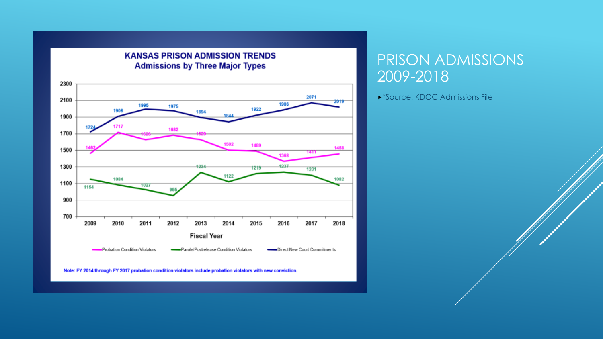

#### PRISON ADMISSIONS 2009-2018

\*Source: KDOC Admissions File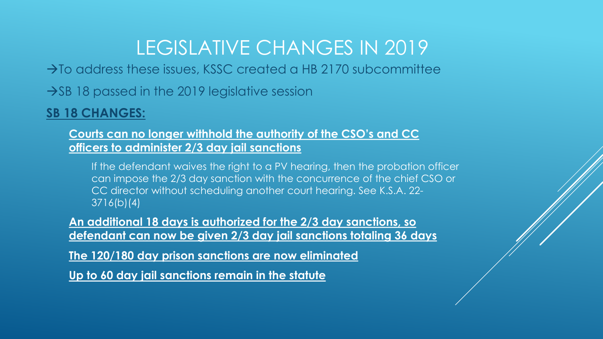#### LEGISLATIVE CHANGES IN 2019

 $\rightarrow$  To address these issues, KSSC created a HB 2170 subcommittee

 $\rightarrow$ SB 18 passed in the 2019 legislative session

#### **SB 18 CHANGES:**

**Courts can no longer withhold the authority of the CSO's and CC officers to administer 2/3 day jail sanctions**

If the defendant waives the right to a PV hearing, then the probation officer can impose the 2/3 day sanction with the concurrence of the chief CSO or CC director without scheduling another court hearing. See K.S.A. 22- 3716(b)(4)

**An additional 18 days is authorized for the 2/3 day sanctions, so defendant can now be given 2/3 day jail sanctions totaling 36 days** 

**The 120/180 day prison sanctions are now eliminated**

**Up to 60 day jail sanctions remain in the statute**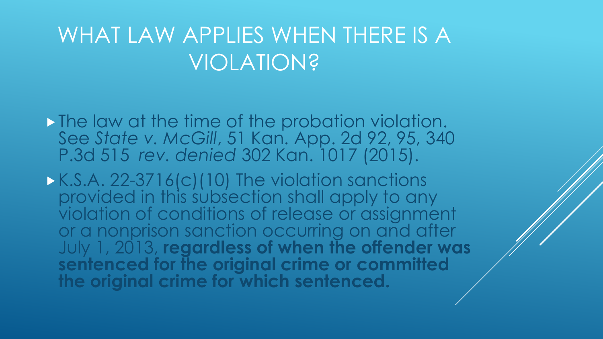### WHAT LAW APPLIES WHEN THERE IS A VIOLATION?

- The law at the time of the probation violation. See *State v. McGill*, 51 Kan. App. 2d 92, 95, 340 P.3d 515 *rev. denied* 302 Kan. 1017 (2015).
- K.S.A. 22-3716(c)(10) The violation sanctions provided in this subsection shall apply to any violation of conditions of release or assignment or a nonprison sanction occurring on and after July 1, 2013, **regardless of when the offender was sentenced for the original crime or committed the original crime for which sentenced.**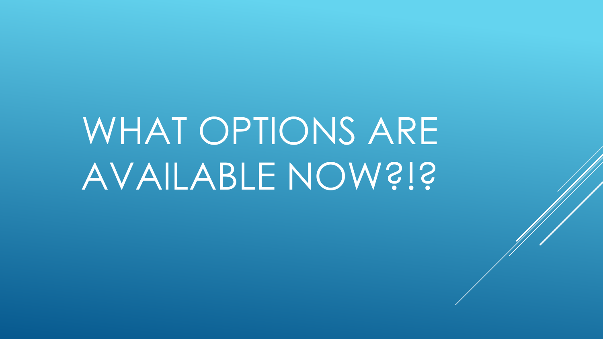# WHAT OPTIONS ARE AVAILABLE NOW?!?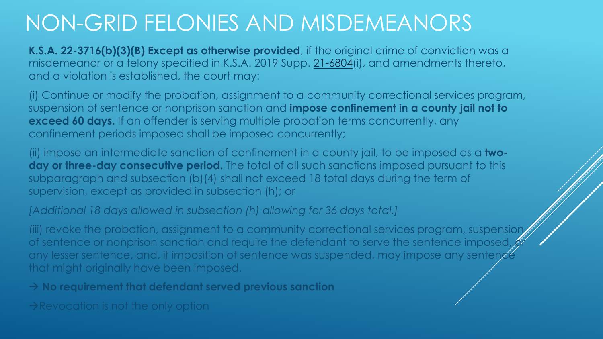#### NON-GRID FELONIES AND MISDEMEANORS

**K.S.A. 22-3716(b)(3)(B) Except as otherwise provided**, if the original crime of conviction was a misdemeanor or a felony specified in K.S.A. 2019 Supp. [21-6804](http://ksrevisor.org/statutes/chapters/ch21/021_068_0004.html)(i), and amendments thereto, and a violation is established, the court may:

(i) Continue or modify the probation, assignment to a community correctional services program, suspension of sentence or nonprison sanction and **impose confinement in a county jail not to exceed 60 days.** If an offender is serving multiple probation terms concurrently, any confinement periods imposed shall be imposed concurrently;

(ii) impose an intermediate sanction of confinement in a county jail, to be imposed as a **two**day or three-day consecutive period. The total of all such sanctions imposed pursuant to this subparagraph and subsection (b)(4) shall not exceed 18 total days during the term of supervision, except as provided in subsection (h); or

*[Additional 18 days allowed in subsection (h) allowing for 36 days total.]*

(iii) revoke the probation, assignment to a community correctional services program, suspension of sentence or nonprison sanction and require the defendant to serve the sentence imposed, any lesser sentence, and, if imposition of sentence was suspended, may impose any sentence that might originally have been imposed.

→ **No requirement that defendant served previous sanction** 

 $\rightarrow$ Revocation is not the only option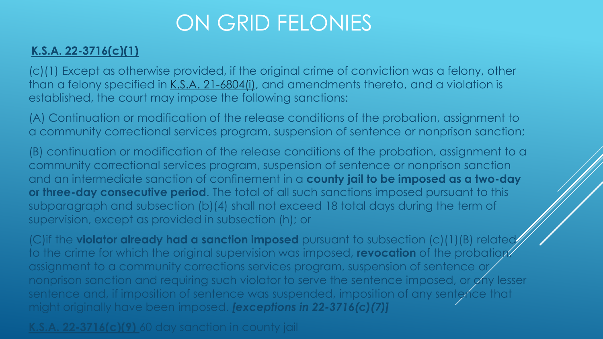### ON GRID FELONIES

#### **K.S.A. 22-3716(c)(1)**

(c)(1) Except as otherwise provided, if the original crime of conviction was a felony, other than a felony specified in [K.S.A. 21-6804\(i\)](https://1.next.westlaw.com/Link/Document/FullText?findType=L&pubNum=1001553&cite=KSSTS21-6804&originatingDoc=N531B89309DD111E9897BE981991D4DEA&refType=SP&originationContext=document&transitionType=DocumentItem&contextData=(sc.Default)#co_pp_17a3000024864), and amendments thereto, and a violation is established, the court may impose the following sanctions:

(A) Continuation or modification of the release conditions of the probation, assignment to a community correctional services program, suspension of sentence or nonprison sanction;

(B) continuation or modification of the release conditions of the probation, assignment to a community correctional services program, suspension of sentence or nonprison sanction and an intermediate sanction of confinement in a **county jail to be imposed as a two-day or three-day consecutive period**. The total of all such sanctions imposed pursuant to this subparagraph and subsection (b)(4) shall not exceed 18 total days during the term of supervision, except as provided in subsection (h); or

(C)if the **violator already had a sanction imposed** pursuant to subsection (c)(1)(B) related to the crime for which the original supervision was imposed, **revocation** of the probation assignment to a community corrections services program, suspension of sentence or nonprison sanction and requiring such violator to serve the sentence imposed, or any lesser sentence and, if imposition of sentence was suspended, imposition of any sentence that might originally have been imposed. *[exceptions in 22-3716(c)(7)]*

**K.S.A. 22-3716(c)(9)** 60 day sanction in county jail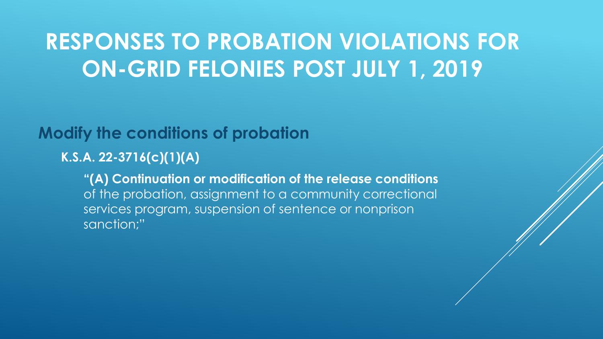#### **Modify the conditions of probation**

**K.S.A. 22-3716(c)(1)(A)**

**"(A) Continuation or modification of the release conditions** of the probation, assignment to a community correctional services program, suspension of sentence or nonprison sanction;"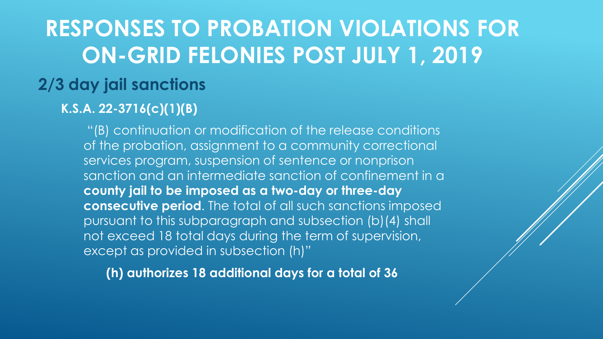#### **2/3 day jail sanctions**

#### **K.S.A. 22-3716(c)(1)(B)**

"(B) continuation or modification of the release conditions of the probation, assignment to a community correctional services program, suspension of sentence or nonprison sanction and an intermediate sanction of confinement in a **county jail to be imposed as a two-day or three-day consecutive period**. The total of all such sanctions imposed pursuant to this subparagraph and subsection (b)(4) shall not exceed 18 total days during the term of supervision, except as provided in subsection (h)"

**(h) authorizes 18 additional days for a total of 36**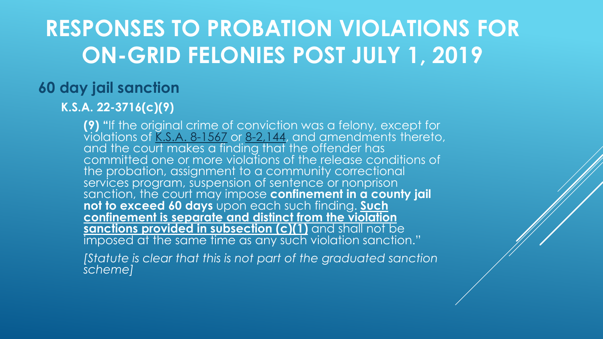#### **60 day jail sanction**

#### **K.S.A. 22-3716(c)(9)**

**(9) "**If the original crime of conviction was a felony, except for  $\overline{\text{vi}}$ olations of <u>[K.S.A. 8-1567](https://1.next.westlaw.com/Link/Document/FullText?findType=L&pubNum=1001553&cite=KSSTS8-1567&originatingDoc=N531B89309DD111E9897BE981991D4DEA&refType=LQ&originationContext=document&transitionType=DocumentItem&contextData=(sc.Default))</u> or <u>8-2,144</u>, and amendments thereto, and the court makes a finding that the offender has committed one or more violations of the release conditions of the probation, assignment to a community correctional services program, suspension of sentence or nonprison sanction, the court may impose **confinement in a county jail not to exceed 60 days** upon each such finding. **Such confinement is separate and distinct from the violation sanctions provided in subsection (c)(1)** and shall not be imposed at the same time as any such violation sanction."

*[Statute is clear that this is not part of the graduated sanction scheme]*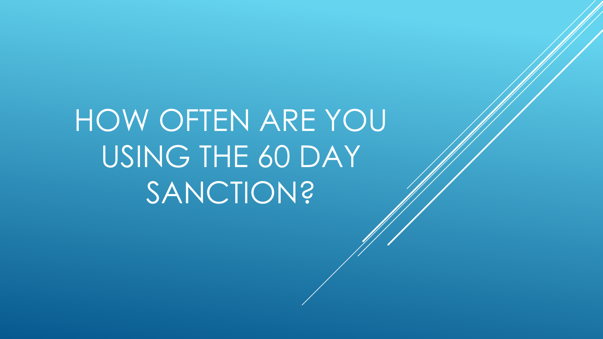HOW OFTEN ARE YOU USING THE 60 DAY **SANCTION?**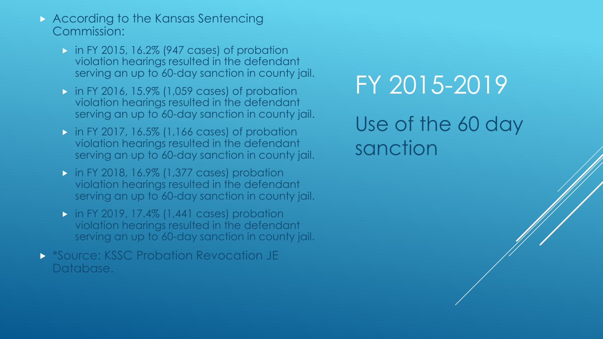- According to the Kansas Sentencing Commission:
	- $\triangleright$  in FY 2015, 16.2% (947 cases) of probation violation hearings resulted in the defendant serving an up to 60-day sanction in county jail.
	- **in FY 2016, 15.9% (1,059 cases) of probation** violation hearings resulted in the defendant serving an up to 60-day sanction in county jail.
	- **in FY 2017, 16.5% (1,166 cases) of probation** violation hearings resulted in the defendant serving an up to 60-day sanction in county jail.
	- **in FY 2018, 16.9% (1,377 cases) probation** violation hearings resulted in the defendant serving an up to 60-day sanction in county jail.
	- $\triangleright$  in FY 2019, 17.4% (1,441 cases) probation violation hearings resulted in the defendant serving an up to 60-day sanction in county jail.
- **SOURE: KSSC Probation Revocation JE** Database.

# FY 2015-2019

Use of the 60 day sanction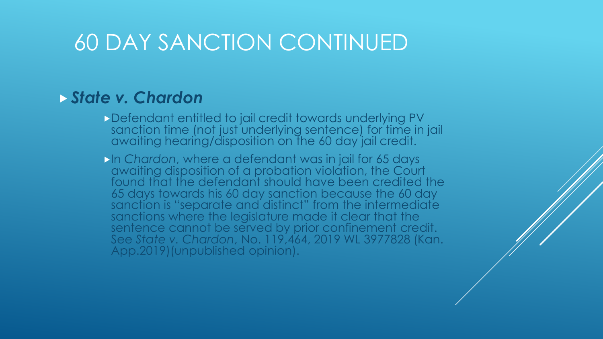### 60 DAY SANCTION CONTINUED

#### *State v. Chardon*

- Defendant entitled to jail credit towards underlying PV sanction time (not just underlying sentence) for time in jail awaiting hearing/disposition on the 60 day jail credit.
- **In Chardon, where a defendant was in jail for 65 days** awaiting disposition of a probation violation, the Court found that the defendant should have been credited the 65 days towards his 60 day sanction because the 60 day sanction is "separate and distinct" from the intermediate sanctions where the legislature made it clear that the sentence cannot be served by prior confinement credit. See *State v. Chardon*, No. 119,464, 2019 WL 3977828 (Kan. App.2019)(unpublished opinion).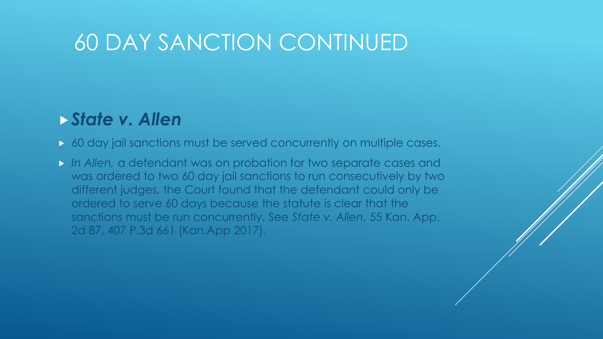### 60 DAY SANCTION CONTINUED

#### *State v. Allen*

- 60 day jail sanctions must be served concurrently on multiple cases.
- *In Allen,* a defendant was on probation for two separate cases and was ordered to two 60 day jail sanctions to run consecutively by two different judges, the Court found that the defendant could only be ordered to serve 60 days because the statute is clear that the sanctions must be run concurrently. See *State v. Allen*, 55 Kan. App. 2d 87, 407 P.3d 661 (Kan.App 2017).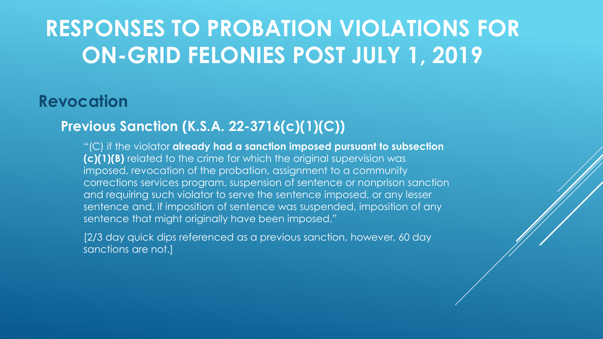#### **Revocation**

#### **Previous Sanction (K.S.A. 22-3716(c)(1)(C))**

"(C) if the violator **already had a sanction imposed pursuant to subsection (c)(1)(B)** related to the crime for which the original supervision was imposed, revocation of the probation, assignment to a community corrections services program, suspension of sentence or nonprison sanction and requiring such violator to serve the sentence imposed, or any lesser sentence and, if imposition of sentence was suspended, imposition of any sentence that might originally have been imposed."

[2/3 day quick dips referenced as a previous sanction, however, 60 day sanctions are not.]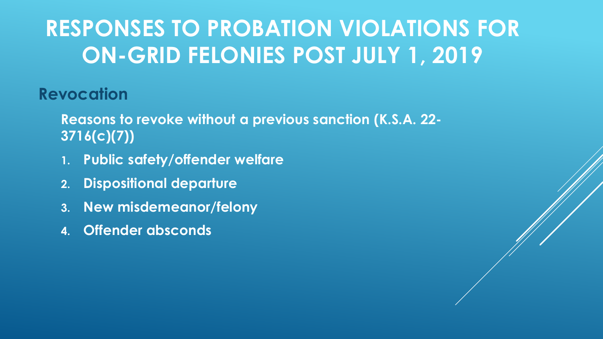#### **Revocation**

**Reasons to revoke without a previous sanction (K.S.A. 22- 3716(c)(7))**

- **1. Public safety/offender welfare**
- **2. Dispositional departure**
- **3. New misdemeanor/felony**
- **4. Offender absconds**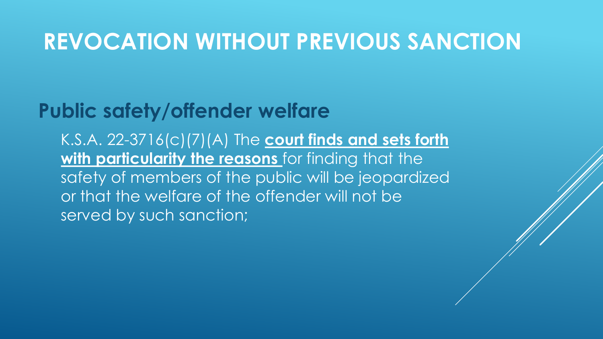#### **Public safety/offender welfare**

K.S.A. 22-3716(c)(7)(A) The **court finds and sets forth with particularity the reasons** for finding that the safety of members of the public will be jeopardized or that the welfare of the offender will not be served by such sanction;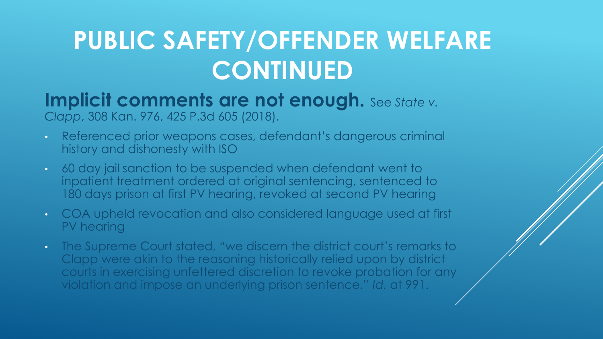#### **Implicit comments are not enough.** See State v. *Clapp*, 308 Kan. 976, 425 P.3d 605 (2018).

- Referenced prior weapons cases, defendant's dangerous criminal history and dishonesty with ISO
- 60 day jail sanction to be suspended when defendant went to inpatient treatment ordered at original sentencing, sentenced to 180 days prison at first PV hearing, revoked at second PV hearing
- COA upheld revocation and also considered language used at first PV hearing
- The Supreme Court stated, "we discern the district court's remarks to Clapp were akin to the reasoning historically relied upon by district courts in exercising unfettered discretion to revoke probation for any violation and impose an underlying prison sentence." *Id.* at 991.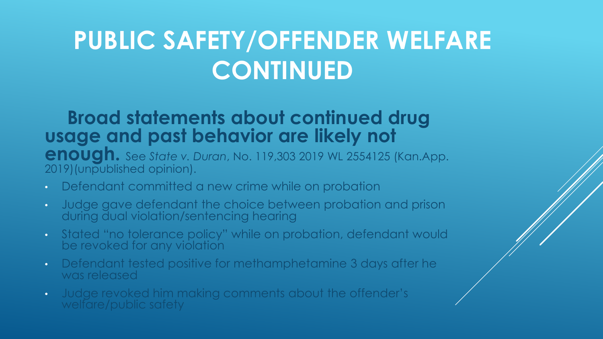#### **Broad statements about continued drug usage and past behavior are likely not**

**enough.** See *State v. Duran*, No. 119,303 2019 WL 2554125 (Kan.App. 2019)(unpublished opinion).

- Defendant committed a new crime while on probation
- Judge gave defendant the choice between probation and prison during dual violation/sentencing hearing
- Stated "no tolerance policy" while on probation, defendant would be revoked for any violation
- Defendant tested positive for methamphetamine 3 days after he was released
- Judge revoked him making comments about the offender's welfare/public safety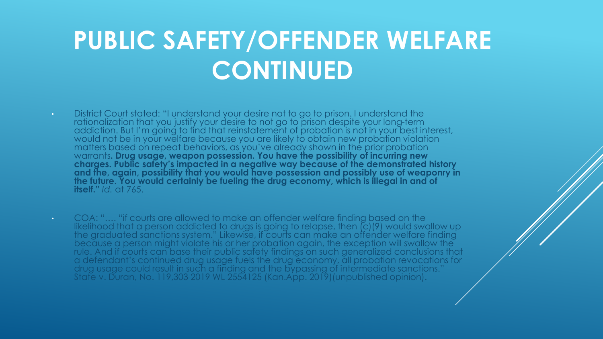- District Court stated: "I understand your desire not to go to prison. I understand the rationalization that you justify your desire to not go to prison despite your long-term addiction. But I'm going to find that reinstatement of probation is not in your best interest, would not be in your welfare because you are likely to obtain new probation violation matters based on repeat behaviors, as you've already shown in the prior probation warrants**. Drug usage, weapon possession. You have the possibility of incurring new charges. Public safety's impacted in a negative way because of the demonstrated history and the, again, possibility that you would have possession and possibly use of weaponry in the future. You would certainly be fueling the drug economy, which is illegal in and of itself."** *Id.* at 765.
- COA: "…. "if courts are allowed to make an offender welfare finding based on the likelihood that a person addicted to drugs is going to relapse, then (c)(9) would swallow up the graduated sanctions system." Likewise, if courts can make an offender welfare finding because a person might violate his or her probation again, the exception will swallow the rule. And if courts can base their public safety findings on such generalized conclusions that a defendant's continued drug usage fuels the drug economy, all probation revocations for drug usage could result in such a finding and the bypassing of intermediate sanctions." State v. Duran, No. 119,303 2019 WL 2554125 (Kan.App. 2019)(unpublished opinion).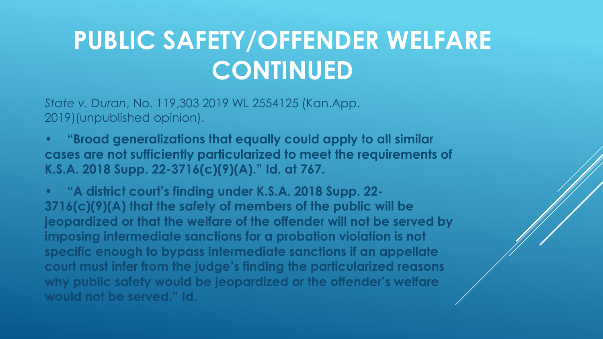*State v. Duran*, No. 119,303 2019 WL 2554125 (Kan.App. 2019)(unpublished opinion).

**• "Broad generalizations that equally could apply to all similar cases are not sufficiently particularized to meet the requirements of K.S.A. 2018 Supp. 22-3716(c)(9)(A)." Id. at 767.**

**• "A district court's finding under K.S.A. 2018 Supp. 22- 3716(c)(9)(A) that the safety of members of the public will be jeopardized or that the welfare of the offender will not be served by imposing intermediate sanctions for a probation violation is not specific enough to bypass intermediate sanctions if an appellate court must infer from the judge's finding the particularized reasons why public safety would be jeopardized or the offender's welfare would not be served." Id.**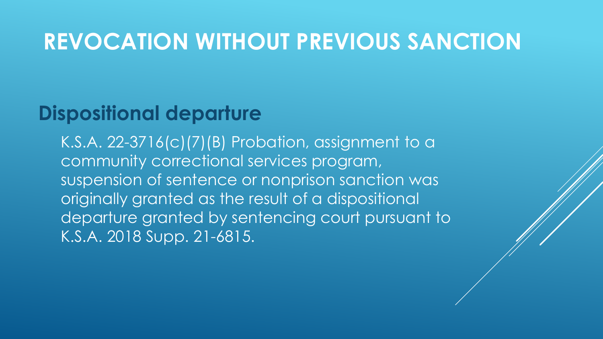#### **Dispositional departure**

K.S.A. 22-3716(c)(7)(B) Probation, assignment to a community correctional services program, suspension of sentence or nonprison sanction was originally granted as the result of a dispositional departure granted by sentencing court pursuant to K.S.A. 2018 Supp. 21-6815.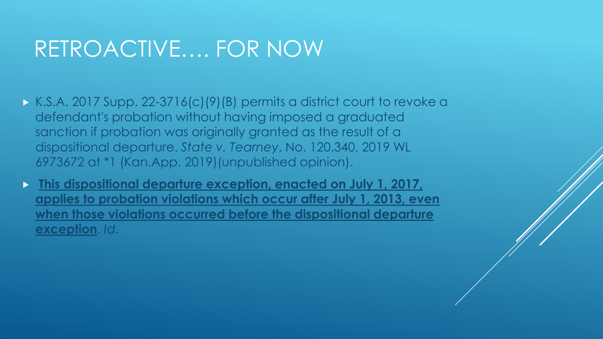### RETROACTIVE…. FOR NOW

- K.S.A. 2017 Supp. 22-3716(c)(9)(B) permits a district court to revoke a defendant's probation without having imposed a graduated sanction if probation was originally granted as the result of a dispositional departure. *State v. Tearney*, No. 120,340, 2019 WL 6973672 at \*1 (Kan.App. 2019)(unpublished opinion).
- **This dispositional departure exception, enacted on July 1, 2017, applies to probation violations which occur after July 1, 2013, even when those violations occurred before the dispositional departure exception**. *Id*.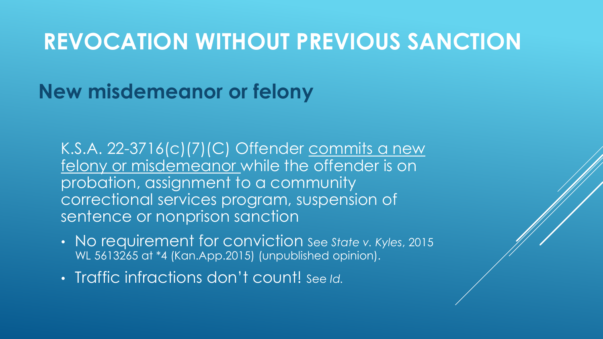#### **New misdemeanor or felony**

K.S.A. 22-3716(c)(7)(C) Offender commits a new felony or misdemeanor while the offender is on probation, assignment to a community correctional services program, suspension of sentence or nonprison sanction

- No requirement for conviction See *State v. Kyles*, 2015 WL 5613265 at \*4 (Kan.App.2015) (unpublished opinion).
- Traffic infractions don't count! See *Id.*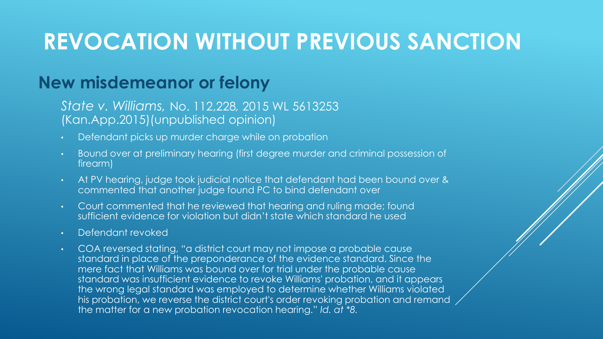#### **New misdemeanor or felony**

#### *State v. Williams,* No. 112,228*,* 2015 WL 5613253 (Kan.App.2015)(unpublished opinion)

- Defendant picks up murder charge while on probation
- Bound over at preliminary hearing (first degree murder and criminal possession of firearm)
- At PV hearing, judge took judicial notice that defendant had been bound over & commented that another judge found PC to bind defendant over
- Court commented that he reviewed that hearing and ruling made; found sufficient evidence for violation but didn't state which standard he used
- Defendant revoked
- COA reversed stating, "a district court may not impose a probable cause standard in place of the preponderance of the evidence standard. Since the mere fact that Williams was bound over for trial under the probable cause standard was insufficient evidence to revoke Williams' probation, and it appears the wrong legal standard was employed to determine whether Williams violated his probation, we reverse the district court's order revoking probation and remand the matter for a new probation revocation hearing." *Id. at \*8.*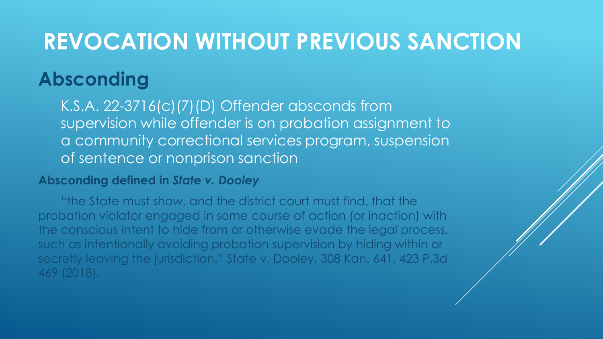#### **Absconding**

K.S.A. 22-3716(c)(7)(D) Offender absconds from supervision while offender is on probation assignment to a community correctional services program, suspension of sentence or nonprison sanction

#### **Absconding defined in** *State v. Dooley*

"the State must show, and the district court must find, that the probation violator engaged in some course of action (or inaction) with the conscious intent to hide from or otherwise evade the legal process, such as intentionally avoiding probation supervision by hiding within or secretly leaving the jurisdiction." State v. Dooley, 308 Kan. 641, 423 P.3d 469 (2018).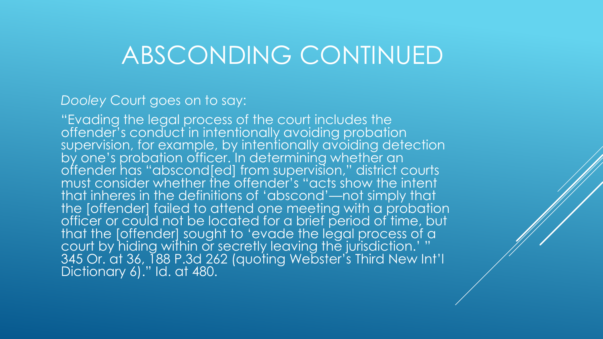### ABSCONDING CONTINUED

#### *Dooley* Court goes on to say:

"Evading the legal process of the court includes the offender's conduct in intentionally avoiding probation supervision, for example, by intentionally avoiding detection by one's probation officer. In determining whether an offender has "abscond[ed] from supervision," district courts must consider whether the offender's "acts show the intent that inheres in the definitions of 'abscond'—not simply that the [offender] failed to attend one meeting with a probation officer or could not be located for a brief period of time, but that the [offender] sought to 'evade the legal process of a court by hiding within or secretly leaving the jurisdiction.' " 345 Or. at 36, 188 P.3d 262 (quoting Webster's Third New Int'l Dictionary 6)." Id. at 480.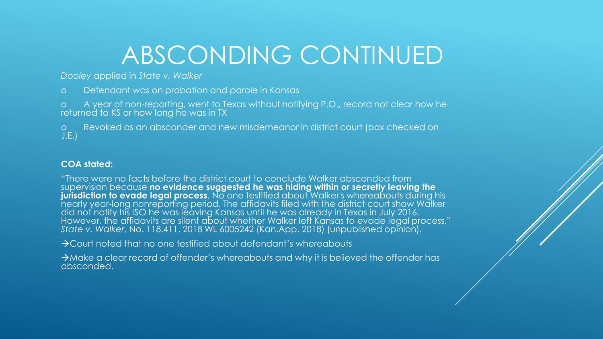# ABSCONDING CONTINUED

*Dooley* applied in *State v. Walker*

o Defendant was on probation and parole in Kansas

o A year of non-reporting, went to Texas without notifying P.O., record not clear how he returned to KS or how long he was in TX

o Revoked as an absconder and new misdemeanor in district court (box checked on J.E.)

#### **COA stated:**

"There were no facts before the district court to conclude Walker absconded from supervision because **no evidence suggested he was hiding within or secretly leaving the jurisdiction to evade legal process**. No one testified about Walker's whereabouts during his nearly year-long nonreporting period. The affidavits filed with the district court show Walker did not notify his ISO he was leaving Kansas until he was already in Texas in July 2016. However, the affidavits are silent about whether Walker left Kansas to evade legal process." *State v. Walker*, No. 118,411, 2018 WL 6005242 (Kan.App. 2018) (unpublished opinion).

→Court noted that no one testified about defendant's whereabouts

→Make a clear record of offender's whereabouts and why it is believed the offender has absconded.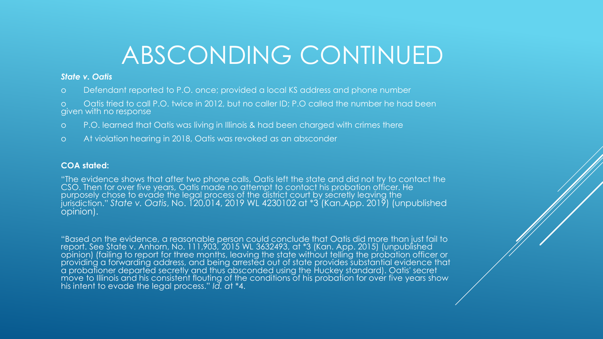# ABSCONDING CONTINUED

#### *State v. Oatis*

- o Defendant reported to P.O. once; provided a local KS address and phone number
- o Oatis tried to call P.O. twice in 2012, but no caller ID; P.O called the number he had been given with no response
- o P.O. learned that Oatis was living in Illinois & had been charged with crimes there
- o At violation hearing in 2018, Oatis was revoked as an absconder

#### **COA stated:**

"The evidence shows that after two phone calls, Oatis left the state and did not try to contact the CSO. Then for over five years, Oatis made no attempt to contact his probation officer. He purposely chose to evade the legal process of the district court by secretly leaving the jurisdiction." *State v. Oatis*, No. 120,014, 2019 WL 4230102 at \*3 (Kan.App. 2019) (unpublished opinion).

"Based on the evidence, a reasonable person could conclude that Oatis did more than just fail to report. See State v. Anhorn, No. 111,903, 2015 WL 3632493, at \*3 (Kan. App. 2015) (unpublished opinion) (failing to report for three months, leaving the state without telling the probation officer or providing a forwarding address, and being arrested out of state provides substantial evidence that a probationer departed secretly and thus absconded using the Huckey standard). Oatis' secret move to Illinois and his consistent flouting of the conditions of his probation for over five years show his intent to evade the legal process." *Id. a*t \*4.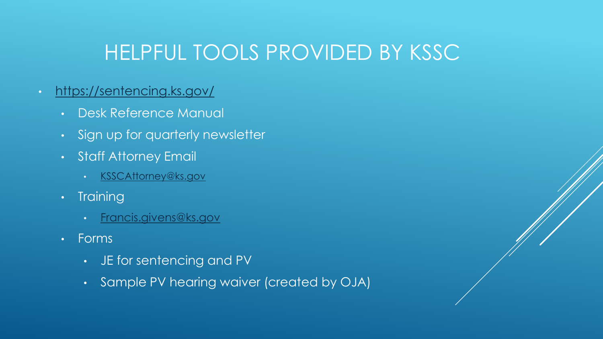#### HELPFUL TOOLS PROVIDED BY KSSC

#### • <https://sentencing.ks.gov/>

- Desk Reference Manual
- Sign up for quarterly newsletter
- Staff Attorney Email
	- [KSSCAttorney@ks.gov](mailto:KSSCAttorney@ks.gov)
- Training
	- [Francis.givens@ks.gov](mailto:Francis.givens@ks.gov)
- Forms
	- JE for sentencing and PV
	- Sample PV hearing waiver (created by OJA)